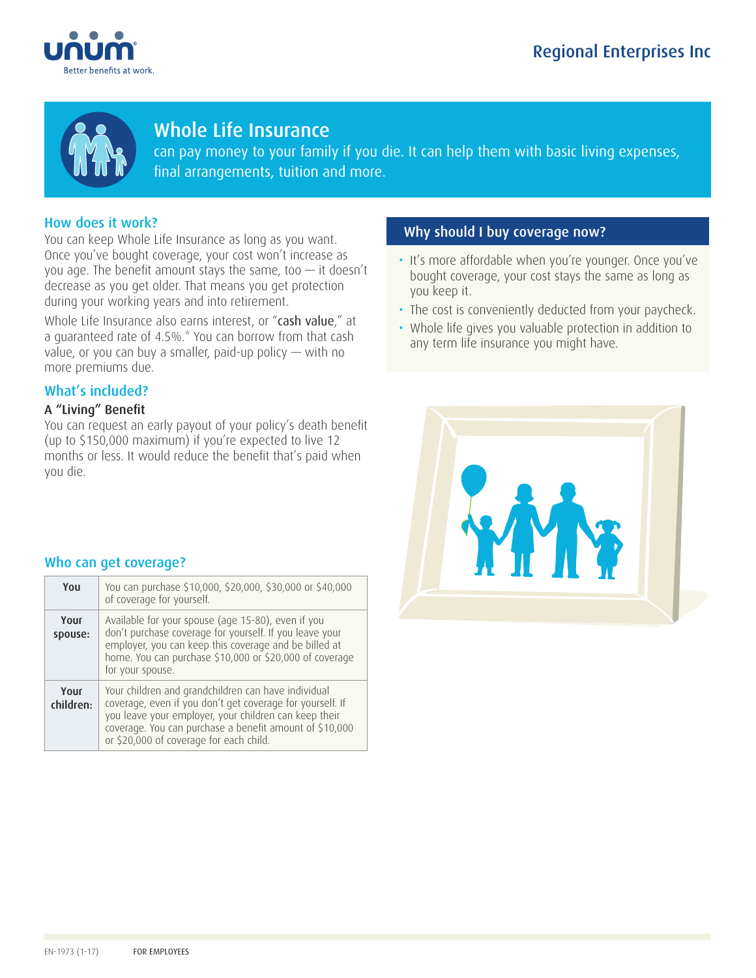



# Whole Life Insurance

can pay money to your family if you die. It can help them with basic living expenses, final arrangements, tuition and more.

## How does it work?

You can keep Whole Life Insurance as long as you want. Once you've bought coverage, your cost won't increase as you age. The benefit amount stays the same, too  $-$  it doesn't decrease as you get older. That means you get protection during your working years and into retirement.

Whole Life Insurance also earns interest, or "cash value," at a guaranteed rate of 4.5%.\* You can borrow from that cash value, or you can buy a smaller, paid-up policy — with no more premiums due.

## What's included?

## A "Living" Benefit

You can request an early payout of your policy's death benefit (up to \$150,000 maximum) if you're expected to live 12 months or less. It would reduce the benefit that's paid when you die.

## Why should I buy coverage now?

- It's more affordable when you're younger. Once you've bought coverage, your cost stays the same as long as you keep it.
- The cost is conveniently deducted from your paycheck.
- Whole life gives you valuable protection in addition to any term life insurance you might have.



### Who can get coverage?

| You               | You can purchase \$10,000, \$20,000, \$30,000 or \$40,000<br>of coverage for yourself.                                                                                                                                                                                          |
|-------------------|---------------------------------------------------------------------------------------------------------------------------------------------------------------------------------------------------------------------------------------------------------------------------------|
| Your<br>spouse:   | Available for your spouse (age 15-80), even if you<br>don't purchase coverage for yourself. If you leave your<br>employer, you can keep this coverage and be billed at<br>home. You can purchase \$10,000 or \$20,000 of coverage<br>for your spouse.                           |
| Your<br>children: | Your children and grandchildren can have individual<br>coverage, even if you don't get coverage for yourself. If<br>you leave your employer, your children can keep their<br>coverage. You can purchase a benefit amount of \$10,000<br>or \$20,000 of coverage for each child. |